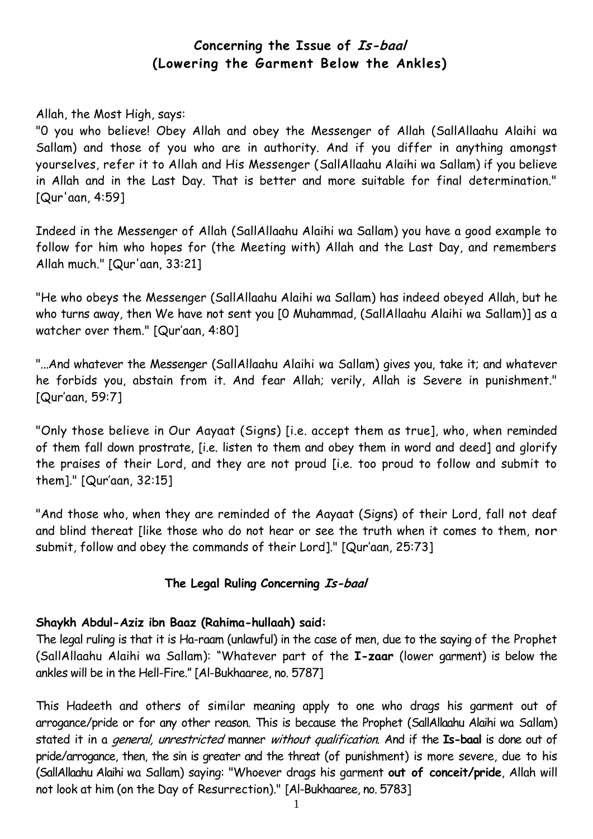# **Concerning the Issue of Is-baal (Lowering the Garment Below the Ankles)**

#### Allah, the Most High, says:

"0 you who believe! Obey Allah and obey the Messenger of Allah (SallAllaahu Alaihi wa Sallam) and those of you who are in authority. And if you differ in anything amongst yourselves, refer it to Allah and His Messenger (SallAllaahu Alaihi wa Sallam) if you believe in Allah and in the Last Day. That is better and more suitable for final determination." [Qur'aan, 4:59]

Indeed in the Messenger of Allah (SallAllaahu Alaihi wa Sallam) you have a good example to follow for him who hopes for (the Meeting with) Allah and the Last Day, and remembers Allah much." [Qur'aan, 33:21]

"He who obeys the Messenger (SallAllaahu Alaihi wa Sallam) has indeed obeyed Allah, but he who turns away, then We have not sent you [0 Muhammad, (SallAllaahu Alaihi wa Sallam)] as a watcher over them." [Qur'aan, 4:80]

"...And whatever the Messenger (SallAllaahu Alaihi wa Sallam) gives you, take it; and whatever he forbids you, abstain from it. And fear Allah; verily, Allah is Severe in punishment." [Qur'aan, 59:7]

"Only those believe in Our Aayaat (Signs) [i.e. accept them as true], who, when reminded of them fall down prostrate, [i.e. listen to them and obey them in word and deed] and glorify the praises of their Lord, and they are not proud [i.e. too proud to follow and submit to them]." [Qur'aan, 32:15]

"And those who, when they are reminded of the Aayaat (Signs) of their Lord, fall not deaf and blind thereat [like those who do not hear or see the truth when it comes to them, nor submit, follow and obey the commands of their Lord]." [Qur'aan, 25:73]

#### **The Legal Ruling Concerning Is-baal**

#### **Shaykh Abdul-Aziz ibn Baaz (Rahima-hullaah) said:**

The legal ruling is that it is Ha-raam (unlawful) in the case of men, due to the saying of the Prophet (SallAllaahu Alaihi wa Sallam): "Whatever part of the **I-zaar** (lower garment) is below the ankles will be in the Hell-Fire." [Al-Bukhaaree, no. 5787]

This Hadeeth and others of similar meaning apply to one who drags his garment out of arrogance/pride or for any other reason. This is because the Prophet (SallAllaahu Alaihi wa Sallam) stated it in a general, unrestricted manner without qualification. And if the **Is-baal** is done out of pride/arrogance, then, the sin is greater and the threat (of punishment) is more severe, due to his (SallAllaahu Alaihi wa Sallam) saying: "Whoever drags his garment **out of conceit/pride**, Allah will not look at him (on the Day of Resurrection)." [Al-Bukhaaree, no. 5783]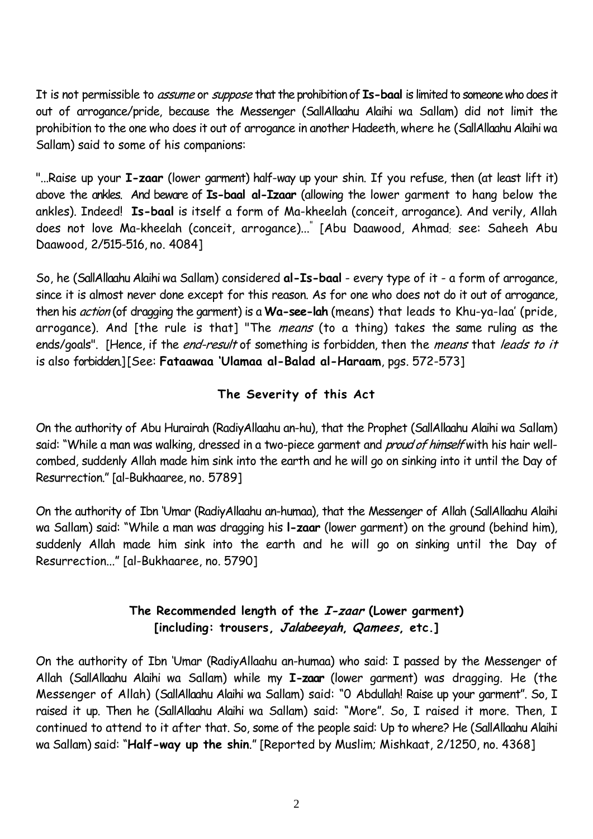It is not permissible to assume or suppose that the prohibition of **Is-baal** is limited to someone who does it out of arrogance/pride, because the Messenger (SallAllaahu Alaihi wa Sallam) did not limit the prohibition to the one who does it out of arrogance in another Hadeeth, where he (SallAllaahu Alaihi wa Sallam) said to some of his companions:

"...Raise up your **I-zaar** (lower garment) half-way up your shin. If you refuse, then (at least lift it) above the ankles. And beware of **Is-baal al-Izaar** (allowing the lower garment to hang below the ankles). Indeed! **Is-baal** is itself a form of Ma-kheelah (conceit, arrogance). And verily, Allah does not love Ma-kheelah (conceit, arrogance)..." [Abu Daawood, Ahmad; see: Saheeh Abu Daawood, 2/515-516, no. 4084]

So, he (SallAllaahu Alaihi wa Sallam) considered **al-Is-baal** - every type of it - a form of arrogance, since it is almost never done except for this reason. As for one who does not do it out of arrogance, then his action (of dragging the garment) is a **Wa-see-lah** (means) that leads to Khu-ya-laa' (pride, arrogance). And [the rule is that] "The means (to a thing) takes the same ruling as the ends/goals". [Hence, if the end-result of something is forbidden, then the means that leads to it is also forbidden.] [See: **Fataawaa 'Ulamaa al-Balad al-Haraam**, pgs. 572-573]

# **The Severity of this Act**

On the authority of Abu Hurairah (RadiyAllaahu an-hu), that the Prophet (SallAllaahu Alaihi wa Sallam) said: "While a man was walking, dressed in a two-piece garment and *proud of himself* with his hair wellcombed, suddenly Allah made him sink into the earth and he will go on sinking into it until the Day of Resurrection." [al-Bukhaaree, no. 5789]

On the authority of Ibn 'Umar (RadiyAllaahu an-humaa), that the Messenger of Allah (SallAllaahu Alaihi wa Sallam) said: "While a man was dragging his **l-zaar** (lower garment) on the ground (behind him), suddenly Allah made him sink into the earth and he will go on sinking until the Day of Resurrection..." [al-Bukhaaree, no. 5790]

## **The Recommended length of the I-zaar (Lower garment) [including: trousers, Jalabeeyah, Qamees, etc.]**

On the authority of Ibn 'Umar (RadiyAllaahu an-humaa) who said: I passed by the Messenger of Allah (SallAllaahu Alaihi wa Sallam) while my **I-zaar** (lower garment) was dragging. He (the Messenger of Allah) (SallAllaahu Alaihi wa Sallam) said: "0 Abdullah! Raise up your garment". So, I raised it up. Then he (SallAllaahu Alaihi wa Sallam) said: "More". So, I raised it more. Then, I continued to attend to it after that. So, some of the people said: Up to where? He (SallAllaahu Alaihi wa Sallam) said: "**Half-way up the shin**." [Reported by Muslim; Mishkaat, 2/1250, no. 4368]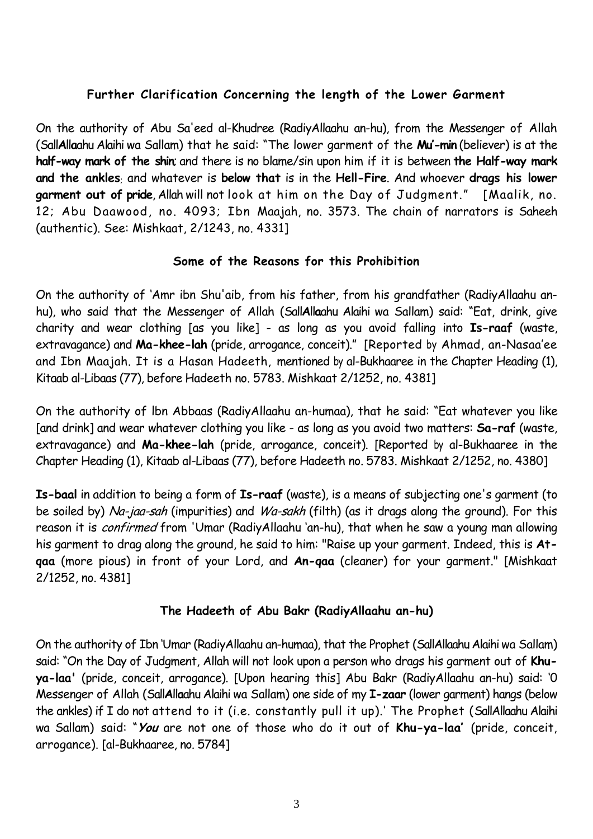## **Further Clarification Concerning the length of the Lower Garment**

On the authority of Abu Sa'eed al-Khudree (RadiyAllaahu an-hu), from the Messenger of Allah (Sall**A**ll**a**ahu Alaihi wa Sallam) that he said: "The lower garment of the **Mu'-min** (believer) is at the **half-way mark of the shin**; and there is no blame/sin upon him if it is between **the Half-way mark and the ankles**; and whatever is **below that** is in the **Hell-Fire**. And whoever **drags his lower garment out of pride**, Allah will not look at him on the Day of Judgment." [Maalik, no. 12; Abu Daawood, no. 4093; Ibn Maajah, no. 3573. The chain of narrators is Saheeh (authentic). See: Mishkaat, 2/1243, no. 4331]

#### **Some of the Reasons for this Prohibition**

On the authority of 'Amr ibn Shu'aib, from his father, from his grandfather (RadiyAllaahu anhu), who said that the Messenger of Allah (Sall**A**ll**a**ahu Alaihi wa Sallam) said: "Eat, drink, give charity and wear clothing [as you like] - as long as you avoid falling into **Is-raaf** (waste, extravagance) and **Ma-khee-lah** (pride, arrogance, conceit)." [Reported by Ahmad, an-Nasaa'ee and Ibn Maajah. It is a Hasan Hadeeth, mentioned by al-Bukhaaree in the Chapter Heading (1), Kitaab al-Libaas (77), before Hadeeth no. 5783. Mishkaat 2/1252, no. 4381]

On the authority of lbn Abbaas (RadiyAllaahu an-humaa), that he said: "Eat whatever you like [and drink] and wear whatever clothing you like - as long as you avoid two matters: **Sa-raf** (waste, extravagance) and **Ma-khee-lah** (pride, arrogance, conceit). [Reported by al-Bukhaaree in the Chapter Heading (1), Kitaab al-Libaas (77), before Hadeeth no. 5783. Mishkaat 2/1252, no. 4380]

**Is-baal** in addition to being a form of **Is-raaf** (waste), is a means of subjecting one's garment (to be soiled by) Na-jaa-sah (impurities) and Wa-sakh (filth) (as it drags along the ground). For this reason it is *confirmed* from 'Umar (RadiyAllaahu 'an-hu), that when he saw a young man allowing his garment to drag along the ground, he said to him: "Raise up your garment. Indeed, this is **Atqaa** (more pious) in front of your Lord, and **An-qaa** (cleaner) for your garment." [Mishkaat 2/1252, no. 4381]

#### **The Hadeeth of Abu Bakr (RadiyAllaahu an-hu)**

On the authority of Ibn 'Umar (RadiyAllaahu an-humaa), that the Prophet (SallAllaahu Alaihi wa Sallam) said: "On the Day of Judgment, Allah will not look upon a person who drags his garment out of **Khuya-laa'** (pride, conceit, arrogance). [Upon hearing this] Abu Bakr (RadiyAllaahu an-hu) said: '0 Messenger of Allah (Sall**A**ll**a**ahu Alaihi wa Sallam) one side of my **I-zaar** (lower garment) hangs (below the ankles) if I do not attend to it (i.e. constantly pull it up).' The Prophet (SallAllaahu Alaihi wa Sallam) said: "**You** are not one of those who do it out of **Khu-ya-laa'** (pride, conceit, arrogance). [al-Bukhaaree, no. 5784]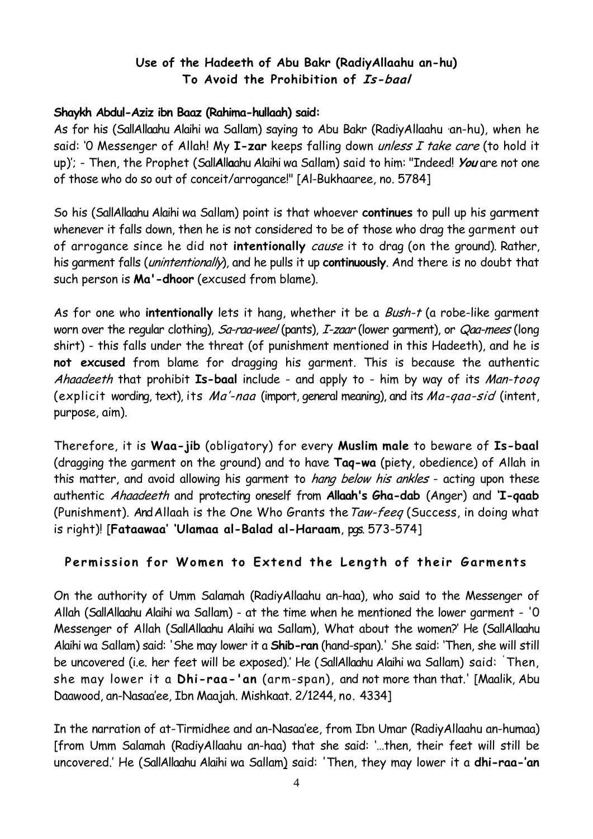## **Use of the Hadeeth of Abu Bakr (RadiyAllaahu an-hu) To Avoid the Prohibition of Is-baal**

### **Shaykh Abdul-Aziz ibn Baaz (Rahima-hullaah) said:**

As for his (SallAllaahu Alaihi wa Sallam) saying to Abu Bakr (RadiyAllaahu an-hu), when he said: '0 Messenger of Allah! My **I-zar** keeps falling down unless I take care (to hold it up)'; - Then, the Prophet (Sall**A**ll**a**ahu Alaihi wa Sallam) said to him: "Indeed! **You** are not one of those who do so out of conceit/arrogance!" [Al-Bukhaaree, no. 5784]

So his (SallAllaahu Alaihi wa Sallam) point is that whoever **continues** to pull up his garment whenever it falls down, then he is not considered to be of those who drag the garment out of arrogance since he did not **intentionally** cause it to drag (on the ground). Rather, his garment falls (unintentionally), and he pulls it up **continuously**. And there is no doubt that such person is **Ma'-dhoor** (excused from blame).

As for one who **intentionally** lets it hang, whether it be a Bush-t (a robe-like garment worn over the regular clothing), Sa-raa-weel (pants), I-zaar (lower garment), or Qaa-mees (long shirt) - this falls under the threat (of punishment mentioned in this Hadeeth), and he is **not excused** from blame for dragging his garment. This is because the authentic Ahaadeeth that prohibit **Is-baal** include - and apply to - him by way of its Man-tooq (explicit wording, text), its Ma'-naa (import, general meaning), and its Ma-qaa-sid (intent, purpose, aim).

Therefore, it is **Waa-jib** (obligatory) for every **Muslim male** to beware of **Is-baal** (dragging the garment on the ground) and to have **Taq-wa** (piety, obedience) of Allah in this matter, and avoid allowing his garment to *hang below his ankles* - acting upon these authentic Ahaadeeth and protecting oneself from **Allaah's Gha-dab** (Anger) and **'I-qaab** (Punishment). And Allaah is the One Who Grants the Taw-feeq (Success, in doing what is right)! [**Fataawaa' 'Ulamaa al-Balad al-Haraam**, pgs. 573-574]

## Permission for Women to Extend the Length of their Garments

On the authority of Umm Salamah (RadiyAllaahu an-haa), who said to the Messenger of Allah (SallAllaahu Alaihi wa Sallam) - at the time when he mentioned the lower garment - '0 Messenger of Allah (SallAllaahu Alaihi wa Sallam), What about the women?' He (SallAllaahu Alaihi wa Sallam) said: 'She may lower it a **Shib-ran** (hand-span).' She said: 'Then, she will still be uncovered (i.e. her feet will be exposed).' He (SallAllaahu Alaihi wa Sallam) said: 'Then, she may lower it a **Dhi-raa-'an** (arm-span), and not more than that.' [Maalik, Abu Daawood, an-Nasaa'ee, Ibn Maajah. Mishkaat. 2/1244, no. 4334]

In the narration of at-Tirmidhee and an-Nasaa'ee, from Ibn Umar (RadiyAllaahu an-humaa) [from Umm Salamah (RadiyAllaahu an-haa) that she said: '…then, their feet will still be uncovered.' He (SallAllaahu Alaihi wa Sallam) said: 'Then, they may lower it a **dhi-raa-'an**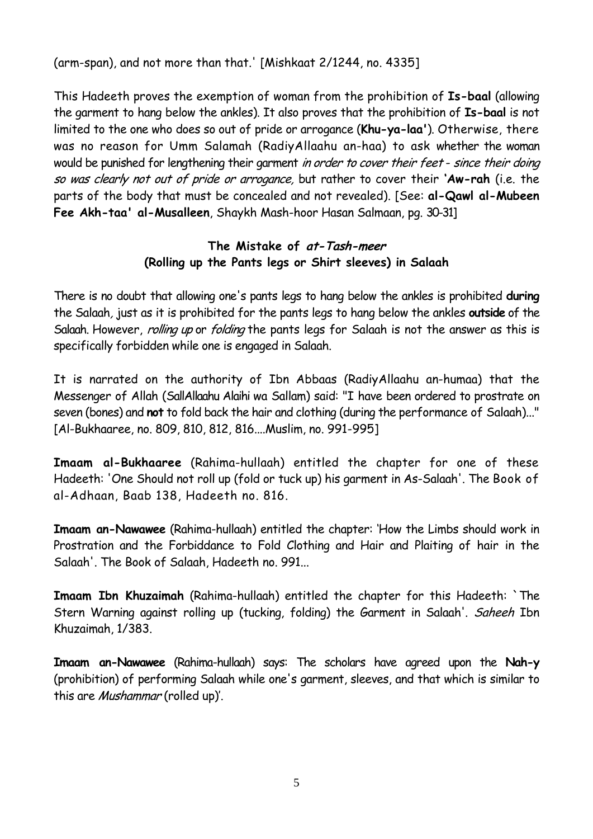(arm-span), and not more than that.' [Mishkaat 2/1244, no. 4335]

This Hadeeth proves the exemption of woman from the prohibition of **Is-baal** (allowing the garment to hang below the ankles). It also proves that the prohibition of **Is-baal** is not limited to the one who does so out of pride or arrogance (**Khu-ya-laa'**). Otherwise, there was no reason for Umm Salamah (RadiyAllaahu an-haa) to ask whether the woman would be punished for lengthening their garment in order to cover their feet - since their doing so was clearly not out of pride or arrogance, but rather to cover their **'Aw-rah** (i.e. the parts of the body that must be concealed and not revealed). [See: **al-Qawl al-Mubeen Fee Akh-taa' al-Musalleen**, Shaykh Mash-hoor Hasan Salmaan, pg. 30-31]

## **The Mistake of at-Tash-meer (Rolling up the Pants legs or Shirt sleeves) in Salaah**

There is no doubt that allowing one's pants legs to hang below the ankles is prohibited **during** the Salaah, just as it is prohibited for the pants legs to hang below the ankles **outside** of the Salaah. However, rolling up or folding the pants legs for Salaah is not the answer as this is specifically forbidden while one is engaged in Salaah.

It is narrated on the authority of Ibn Abbaas (RadiyAllaahu an-humaa) that the Messenger of Allah (SallAllaahu Alaihi wa Sallam) said: "I have been ordered to prostrate on seven (bones) and **not** to fold back the hair and clothing (during the performance of Salaah)..." [Al-Bukhaaree, no. 809, 810, 812, 816....Muslim, no. 991-995]

**Imaam al-Bukhaaree** (Rahima-hullaah) entitled the chapter for one of these Hadeeth: 'One Should not roll up (fold or tuck up) his garment in As-Salaah'. The Book of al-Adhaan, Baab 138, Hadeeth no. 816.

**Imaam an-Nawawee** (Rahima-hullaah) entitled the chapter: 'How the Limbs should work in Prostration and the Forbiddance to Fold Clothing and Hair and Plaiting of hair in the Salaah'. The Book of Salaah, Hadeeth no. 991...

**Imaam Ibn Khuzaimah** (Rahima-hullaah) entitled the chapter for this Hadeeth: `The Stern Warning against rolling up (tucking, folding) the Garment in Salaah'. Saheeh Ibn Khuzaimah, 1/383.

**Imaam an-Nawawee** (Rahima-hullaah) says: The scholars have agreed upon the **Nah-y** (prohibition) of performing Salaah while one's garment, sleeves, and that which is similar to this are *Mushammar* (rolled up)'.